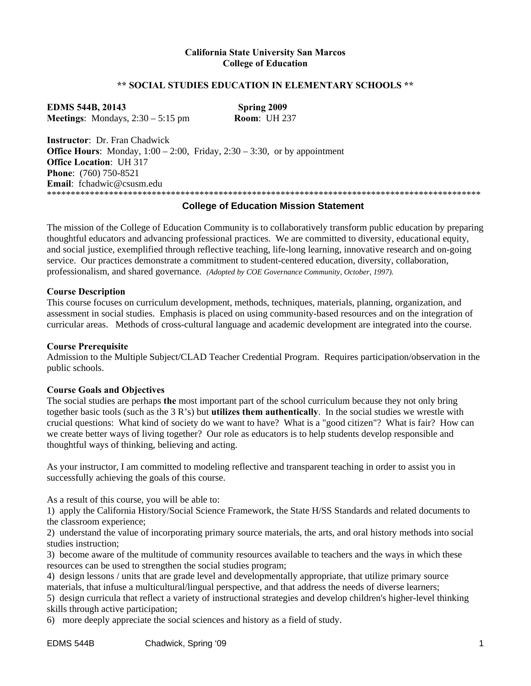### **California State University San Marcos College of Education**

#### **\*\* SOCIAL STUDIES EDUCATION IN ELEMENTARY SCHOOLS \*\***

**EDMS 544B, 20143 Spring 2009 Meetings**: Mondays, 2:30 – 5:15 pm **Room**: UH 237

**Instructor**: Dr. Fran Chadwick **Office Hours:** Monday,  $1:00 - 2:00$ , Friday,  $2:30 - 3:30$ , or by appointment **Office Location**: UH 317 **Phone**: (760) 750-8521 **Email**: fchadwic@csusm.edu \*\*\*\*\*\*\*\*\*\*\*\*\*\*\*\*\*\*\*\*\*\*\*\*\*\*\*\*\*\*\*\*\*\*\*\*\*\*\*\*\*\*\*\*\*\*\*\*\*\*\*\*\*\*\*\*\*\*\*\*\*\*\*\*\*\*\*\*\*\*\*\*\*\*\*\*\*\*\*\*\*\*\*\*\*\*\*\*\*\*\*

#### **College of Education Mission Statement**

The mission of the College of Education Community is to collaboratively transform public education by preparing thoughtful educators and advancing professional practices. We are committed to diversity, educational equity, and social justice, exemplified through reflective teaching, life-long learning, innovative research and on-going service. Our practices demonstrate a commitment to student-centered education, diversity, collaboration, professionalism, and shared governance. *(Adopted by COE Governance Community, October, 1997).* 

#### **Course Description**

This course focuses on curriculum development, methods, techniques, materials, planning, organization, and assessment in social studies. Emphasis is placed on using community-based resources and on the integration of curricular areas. Methods of cross-cultural language and academic development are integrated into the course.

#### **Course Prerequisite**

Admission to the Multiple Subject/CLAD Teacher Credential Program. Requires participation/observation in the public schools.

#### **Course Goals and Objectives**

The social studies are perhaps **the** most important part of the school curriculum because they not only bring together basic tools (such as the 3 R's) but **utilizes them authentically**. In the social studies we wrestle with crucial questions: What kind of society do we want to have? What is a "good citizen"? What is fair? How can we create better ways of living together? Our role as educators is to help students develop responsible and thoughtful ways of thinking, believing and acting.

As your instructor, I am committed to modeling reflective and transparent teaching in order to assist you in successfully achieving the goals of this course.

As a result of this course, you will be able to:

1) apply the California History/Social Science Framework, the State H/SS Standards and related documents to the classroom experience;

2) understand the value of incorporating primary source materials, the arts, and oral history methods into social studies instruction;

3) become aware of the multitude of community resources available to teachers and the ways in which these resources can be used to strengthen the social studies program;

4) design lessons / units that are grade level and developmentally appropriate, that utilize primary source materials, that infuse a multicultural/lingual perspective, and that address the needs of diverse learners; 5) design curricula that reflect a variety of instructional strategies and develop children's higher-level thinking

skills through active participation;

6) more deeply appreciate the social sciences and history as a field of study.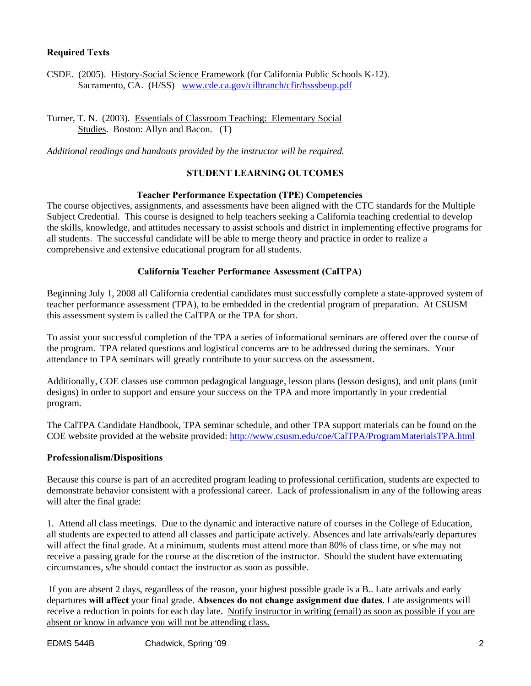## **Required Texts**

CSDE. (2005). History-Social Science Framework (for California Public Schools K-12). Sacramento, CA. (H/SS) www.cde.ca.gov/cilbranch/cfir/hsssbeup.pdf

Turner, T. N. (2003). Essentials of Classroom Teaching: Elementary Social Studies. Boston: Allyn and Bacon. (T)

*Additional readings and handouts provided by the instructor will be required.* 

## **STUDENT LEARNING OUTCOMES**

#### **Teacher Performance Expectation (TPE) Competencies**

The course objectives, assignments, and assessments have been aligned with the CTC standards for the Multiple Subject Credential. This course is designed to help teachers seeking a California teaching credential to develop the skills, knowledge, and attitudes necessary to assist schools and district in implementing effective programs for all students. The successful candidate will be able to merge theory and practice in order to realize a comprehensive and extensive educational program for all students.

### **California Teacher Performance Assessment (CalTPA)**

Beginning July 1, 2008 all California credential candidates must successfully complete a state-approved system of teacher performance assessment (TPA), to be embedded in the credential program of preparation. At CSUSM this assessment system is called the CalTPA or the TPA for short.

To assist your successful completion of the TPA a series of informational seminars are offered over the course of the program. TPA related questions and logistical concerns are to be addressed during the seminars. Your attendance to TPA seminars will greatly contribute to your success on the assessment.

Additionally, COE classes use common pedagogical language, lesson plans (lesson designs), and unit plans (unit designs) in order to support and ensure your success on the TPA and more importantly in your credential program.

The CalTPA Candidate Handbook, TPA seminar schedule, and other TPA support materials can be found on the COE website provided at the website provided: http://www.csusm.edu/coe/CalTPA/ProgramMaterialsTPA.html

#### **Professionalism/Dispositions**

Because this course is part of an accredited program leading to professional certification, students are expected to demonstrate behavior consistent with a professional career. Lack of professionalism in any of the following areas will alter the final grade:

1. Attend all class meetings. Due to the dynamic and interactive nature of courses in the College of Education, all students are expected to attend all classes and participate actively. Absences and late arrivals/early departures will affect the final grade. At a minimum, students must attend more than 80% of class time, or s/he may not receive a passing grade for the course at the discretion of the instructor. Should the student have extenuating circumstances, s/he should contact the instructor as soon as possible.

 If you are absent 2 days, regardless of the reason, your highest possible grade is a B.. Late arrivals and early departures **will affect** your final grade. **Absences do not change assignment due dates**. Late assignments will receive a reduction in points for each day late. Notify instructor in writing (email) as soon as possible if you are absent or know in advance you will not be attending class.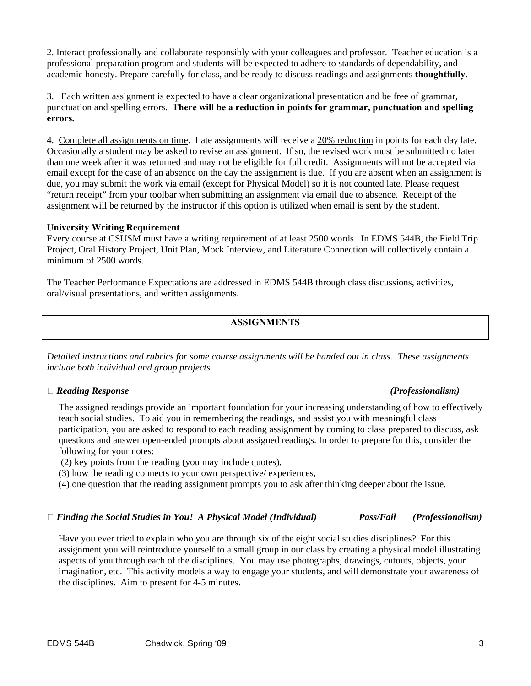2. Interact professionally and collaborate responsibly with your colleagues and professor. Teacher education is a professional preparation program and students will be expected to adhere to standards of dependability, and academic honesty. Prepare carefully for class, and be ready to discuss readings and assignments **thoughtfully.** 

3. Each written assignment is expected to have a clear organizational presentation and be free of grammar, punctuation and spelling errors. **There will be a reduction in points for grammar, punctuation and spelling errors.** 

4. Complete all assignments on time. Late assignments will receive a 20% reduction in points for each day late. Occasionally a student may be asked to revise an assignment. If so, the revised work must be submitted no later than one week after it was returned and may not be eligible for full credit. Assignments will not be accepted via email except for the case of an absence on the day the assignment is due. If you are absent when an assignment is due, you may submit the work via email (except for Physical Model) so it is not counted late. Please request "return receipt" from your toolbar when submitting an assignment via email due to absence. Receipt of the assignment will be returned by the instructor if this option is utilized when email is sent by the student.

#### **University Writing Requirement**

Every course at CSUSM must have a writing requirement of at least 2500 words. In EDMS 544B, the Field Trip Project, Oral History Project, Unit Plan, Mock Interview, and Literature Connection will collectively contain a minimum of 2500 words.

The Teacher Performance Expectations are addressed in EDMS 544B through class discussions, activities, oral/visual presentations, and written assignments.

# **ASSIGNMENTS**

*Detailed instructions and rubrics for some course assignments will be handed out in class. These assignments include both individual and group projects.* 

# **�** *Reading Response (Professionalism)*

The assigned readings provide an important foundation for your increasing understanding of how to effectively teach social studies. To aid you in remembering the readings, and assist you with meaningful class participation, you are asked to respond to each reading assignment by coming to class prepared to discuss, ask questions and answer open-ended prompts about assigned readings. In order to prepare for this, consider the following for your notes:

- (2) key points from the reading (you may include quotes),
- (3) how the reading connects to your own perspective/ experiences,
- (4) one question that the reading assignment prompts you to ask after thinking deeper about the issue.

# **�** *Finding the Social Studies in You! A Physical Model (Individual) Pass/Fail (Professionalism)*

Have you ever tried to explain who you are through six of the eight social studies disciplines? For this assignment you will reintroduce yourself to a small group in our class by creating a physical model illustrating aspects of you through each of the disciplines. You may use photographs, drawings, cutouts, objects, your imagination, etc. This activity models a way to engage your students, and will demonstrate your awareness of the disciplines. Aim to present for 4-5 minutes.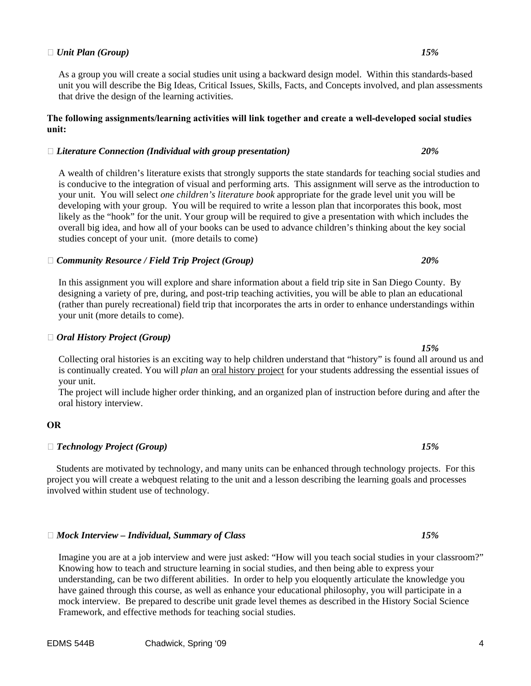#### $\Box$  *Unit Plan (Group)*  $15\%$

As a group you will create a social studies unit using a backward design model. Within this standards-based unit you will describe the Big Ideas, Critical Issues, Skills, Facts, and Concepts involved, and plan assessments that drive the design of the learning activities.

#### **The following assignments/learning activities will link together and create a well-developed social studies unit:**

#### **�** *Literature Connection (Individual with group presentation) 20%*

A wealth of children's literature exists that strongly supports the state standards for teaching social studies and is conducive to the integration of visual and performing arts. This assignment will serve as the introduction to your unit. You will select *one children's literature book* appropriate for the grade level unit you will be developing with your group. You will be required to write a lesson plan that incorporates this book, most likely as the "hook" for the unit. Your group will be required to give a presentation with which includes the overall big idea, and how all of your books can be used to advance children's thinking about the key social studies concept of your unit. (more details to come)

#### **�** *Community Resource / Field Trip Project (Group) 20%*

In this assignment you will explore and share information about a field trip site in San Diego County. By designing a variety of pre, during, and post-trip teaching activities, you will be able to plan an educational (rather than purely recreational) field trip that incorporates the arts in order to enhance understandings within your unit (more details to come).

#### **�** *Oral History Project (Group)*

Collecting oral histories is an exciting way to help children understand that "history" is found all around us and is continually created. You will *plan* an oral history project for your students addressing the essential issues of your unit.

The project will include higher order thinking, and an organized plan of instruction before during and after the oral history interview.

#### 

# **OR �** *Technology Project (Group) 15%*

 Students are motivated by technology, and many units can be enhanced through technology projects. For this project you will create a webquest relating to the unit and a lesson describing the learning goals and processes involved within student use of technology.

**�** *Mock Interview – Individual, Summary of Class 15%* 

Imagine you are at a job interview and were just asked: "How will you teach social studies in your classroom?"<br>Knowing how to teach and structure learning in social studies, and then being able to express your understanding, can be two different abilities. In order to help you eloquently articulate the knowledge you have gained through this course, as well as enhance your educational philosophy, you will participate in a mock interview. Be prepared to describe unit grade level themes as described in the History Social Science Framework, and effective methods for teaching social studies.

# *15%*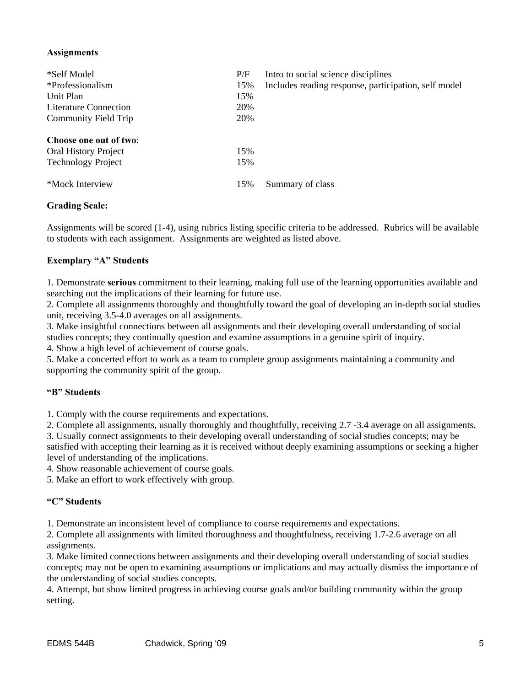## **Assignments**

| *Self Model<br>*Professionalism<br>Unit Plan<br>Literature Connection<br>Community Field Trip | P/F<br>15%<br>15%<br>20%<br>20% | Intro to social science disciplines<br>Includes reading response, participation, self model |
|-----------------------------------------------------------------------------------------------|---------------------------------|---------------------------------------------------------------------------------------------|
| Choose one out of two:<br><b>Oral History Project</b><br><b>Technology Project</b>            | 15%<br>15%                      |                                                                                             |
| *Mock Interview                                                                               | 15%                             | Summary of class                                                                            |

#### **Grading Scale:**

Assignments will be scored (1-4), using rubrics listing specific criteria to be addressed. Rubrics will be available to students with each assignment. Assignments are weighted as listed above.

## **Exemplary "A" Students**

1. Demonstrate **serious** commitment to their learning, making full use of the learning opportunities available and searching out the implications of their learning for future use.

2. Complete all assignments thoroughly and thoughtfully toward the goal of developing an in-depth social studies unit, receiving 3.5-4.0 averages on all assignments.

3. Make insightful connections between all assignments and their developing overall understanding of social studies concepts; they continually question and examine assumptions in a genuine spirit of inquiry.

4. Show a high level of achievement of course goals.

5. Make a concerted effort to work as a team to complete group assignments maintaining a community and supporting the community spirit of the group.

#### **"B" Students**

1. Comply with the course requirements and expectations.

2. Complete all assignments, usually thoroughly and thoughtfully, receiving 2.7 -3.4 average on all assignments.

3. Usually connect assignments to their developing overall understanding of social studies concepts; may be satisfied with accepting their learning as it is received without deeply examining assumptions or seeking a higher level of understanding of the implications.

4. Show reasonable achievement of course goals.

5. Make an effort to work effectively with group.

#### **"C" Students**

1. Demonstrate an inconsistent level of compliance to course requirements and expectations.

2. Complete all assignments with limited thoroughness and thoughtfulness, receiving 1.7-2.6 average on all assignments.

3. Make limited connections between assignments and their developing overall understanding of social studies concepts; may not be open to examining assumptions or implications and may actually dismiss the importance of the understanding of social studies concepts.

4. Attempt, but show limited progress in achieving course goals and/or building community within the group setting.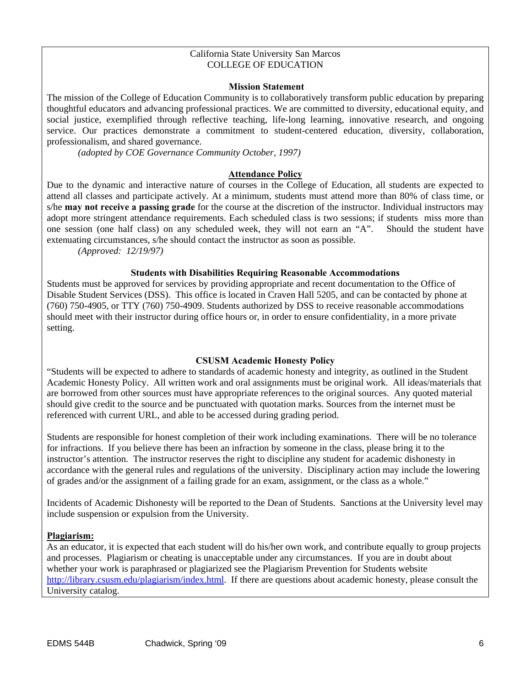#### California State University San Marcos COLLEGE OF EDUCATION

#### **Mission Statement**

The mission of the College of Education Community is to collaboratively transform public education by preparing thoughtful educators and advancing professional practices. We are committed to diversity, educational equity, and social justice, exemplified through reflective teaching, life-long learning, innovative research, and ongoing service. Our practices demonstrate a commitment to student-centered education, diversity, collaboration, professionalism, and shared governance.

*(adopted by COE Governance Community October, 1997)* 

#### **Attendance Policy**

Due to the dynamic and interactive nature of courses in the College of Education, all students are expected to attend all classes and participate actively. At a minimum, students must attend more than 80% of class time, or s/he **may not receive a passing grade** for the course at the discretion of the instructor. Individual instructors may adopt more stringent attendance requirements. Each scheduled class is two sessions; if students miss more than one session (one half class) on any scheduled week, they will not earn an "A". Should the student have extenuating circumstances, s/he should contact the instructor as soon as possible.

*(Approved: 12/19/97)* 

#### **Students with Disabilities Requiring Reasonable Accommodations**

Students must be approved for services by providing appropriate and recent documentation to the Office of Disable Student Services (DSS). This office is located in Craven Hall 5205, and can be contacted by phone at (760) 750-4905, or TTY (760) 750-4909. Students authorized by DSS to receive reasonable accommodations should meet with their instructor during office hours or, in order to ensure confidentiality, in a more private setting.

#### **CSUSM Academic Honesty Policy**

"Students will be expected to adhere to standards of academic honesty and integrity, as outlined in the Student Academic Honesty Policy. All written work and oral assignments must be original work. All ideas/materials that are borrowed from other sources must have appropriate references to the original sources. Any quoted material should give credit to the source and be punctuated with quotation marks. Sources from the internet must be referenced with current URL, and able to be accessed during grading period.

Students are responsible for honest completion of their work including examinations. There will be no tolerance for infractions. If you believe there has been an infraction by someone in the class, please bring it to the instructor's attention. The instructor reserves the right to discipline any student for academic dishonesty in accordance with the general rules and regulations of the university. Disciplinary action may include the lowering of grades and/or the assignment of a failing grade for an exam, assignment, or the class as a whole."

Incidents of Academic Dishonesty will be reported to the Dean of Students. Sanctions at the University level may include suspension or expulsion from the University.

#### **Plagiarism:**

As an educator, it is expected that each student will do his/her own work, and contribute equally to group projects and processes. Plagiarism or cheating is unacceptable under any circumstances. If you are in doubt about whether your work is paraphrased or plagiarized see the Plagiarism Prevention for Students website http://library.csusm.edu/plagiarism/index.html. If there are questions about academic honesty, please consult the University catalog.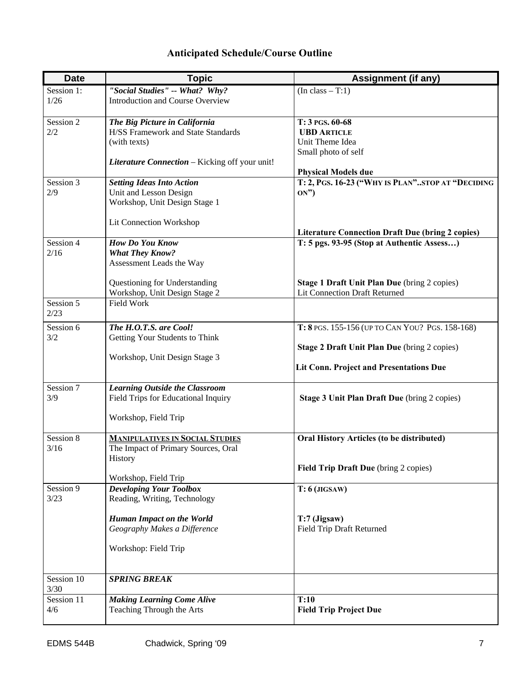# **Anticipated Schedule/Course Outline**

| <b>Date</b> | <b>Topic</b>                                                   | <b>Assignment (if any)</b>                                                    |
|-------------|----------------------------------------------------------------|-------------------------------------------------------------------------------|
| Session 1:  | "Social Studies" -- What? Why?                                 | $(In class - T:1)$                                                            |
| 1/26        | <b>Introduction and Course Overview</b>                        |                                                                               |
|             |                                                                |                                                                               |
| Session 2   | The Big Picture in California                                  | T: 3 PGS. 60-68                                                               |
| 2/2         | <b>H/SS Framework and State Standards</b><br>(with texts)      | <b>UBD ARTICLE</b><br>Unit Theme Idea                                         |
|             |                                                                | Small photo of self                                                           |
|             | Literature Connection - Kicking off your unit!                 |                                                                               |
|             |                                                                | <b>Physical Models due</b>                                                    |
| Session 3   | <b>Setting Ideas Into Action</b>                               | T: 2, PGS. 16-23 ("WHY IS PLAN"STOP AT "DECIDING                              |
| 2/9         | Unit and Lesson Design                                         | ON")                                                                          |
|             | Workshop, Unit Design Stage 1                                  |                                                                               |
|             | Lit Connection Workshop                                        |                                                                               |
|             |                                                                | <b>Literature Connection Draft Due (bring 2 copies)</b>                       |
| Session 4   | <b>How Do You Know</b>                                         | T: 5 pgs. 93-95 (Stop at Authentic Assess)                                    |
| 2/16        | <b>What They Know?</b>                                         |                                                                               |
|             | Assessment Leads the Way                                       |                                                                               |
|             |                                                                |                                                                               |
|             | Questioning for Understanding<br>Workshop, Unit Design Stage 2 | Stage 1 Draft Unit Plan Due (bring 2 copies)<br>Lit Connection Draft Returned |
| Session 5   | <b>Field Work</b>                                              |                                                                               |
| 2/23        |                                                                |                                                                               |
| Session 6   | The H.O.T.S. are Cool!                                         | T: 8 PGS. 155-156 (UP TO CAN YOU? PGS. 158-168)                               |
| 3/2         | Getting Your Students to Think                                 |                                                                               |
|             |                                                                | Stage 2 Draft Unit Plan Due (bring 2 copies)                                  |
|             | Workshop, Unit Design Stage 3                                  |                                                                               |
|             |                                                                | Lit Conn. Project and Presentations Due                                       |
| Session 7   | <b>Learning Outside the Classroom</b>                          |                                                                               |
| 3/9         | Field Trips for Educational Inquiry                            | <b>Stage 3 Unit Plan Draft Due</b> (bring 2 copies)                           |
|             |                                                                |                                                                               |
|             | Workshop, Field Trip                                           |                                                                               |
| Session 8   | <b>MANIPULATIVES IN SOCIAL STUDIES</b>                         | Oral History Articles (to be distributed)                                     |
| $3/16$      | The Impact of Primary Sources, Oral                            |                                                                               |
|             | History                                                        |                                                                               |
|             |                                                                | Field Trip Draft Due (bring 2 copies)                                         |
|             | Workshop, Field Trip                                           |                                                                               |
| Session 9   | <b>Developing Your Toolbox</b><br>Reading, Writing, Technology | $T: 6$ (JIGSAW)                                                               |
| 3/23        |                                                                |                                                                               |
|             | <b>Human Impact on the World</b>                               | T:7 (Jigsaw)                                                                  |
|             | Geography Makes a Difference                                   | Field Trip Draft Returned                                                     |
|             |                                                                |                                                                               |
|             | Workshop: Field Trip                                           |                                                                               |
|             |                                                                |                                                                               |
| Session 10  | <b>SPRING BREAK</b>                                            |                                                                               |
| 3/30        |                                                                |                                                                               |
| Session 11  | <b>Making Learning Come Alive</b>                              | T:10                                                                          |
| 4/6         | Teaching Through the Arts                                      | <b>Field Trip Project Due</b>                                                 |